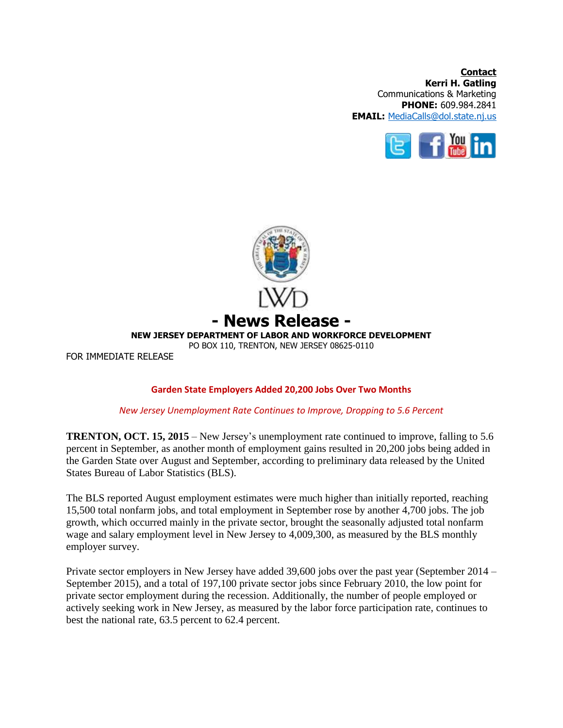**Contact Kerri H. Gatling** Communications & Marketing **PHONE:** 609.984.2841 **EMAIL:** [MediaCalls@dol.state.nj.us](mailto:MediaCalls@dol.state.nj.us)





## **Garden State Employers Added 20,200 Jobs Over Two Months**

## *New Jersey Unemployment Rate Continues to Improve, Dropping to 5.6 Percent*

**TRENTON, OCT. 15, 2015** – New Jersey's unemployment rate continued to improve, falling to 5.6 percent in September, as another month of employment gains resulted in 20,200 jobs being added in the Garden State over August and September, according to preliminary data released by the United States Bureau of Labor Statistics (BLS).

The BLS reported August employment estimates were much higher than initially reported, reaching 15,500 total nonfarm jobs, and total employment in September rose by another 4,700 jobs. The job growth, which occurred mainly in the private sector, brought the seasonally adjusted total nonfarm wage and salary employment level in New Jersey to 4,009,300, as measured by the BLS monthly employer survey.

Private sector employers in New Jersey have added 39,600 jobs over the past year (September 2014 – September 2015), and a total of 197,100 private sector jobs since February 2010, the low point for private sector employment during the recession. Additionally, the number of people employed or actively seeking work in New Jersey, as measured by the labor force participation rate, continues to best the national rate, 63.5 percent to 62.4 percent.